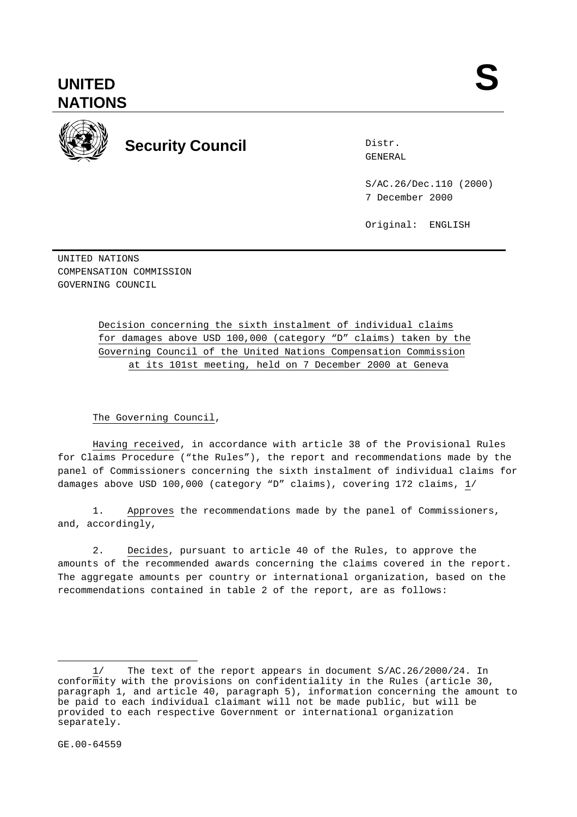

## **Security Council Security Council**

Distr.

S/AC.26/Dec.110 (2000) 7 December 2000

Original: ENGLISH

UNITED NATIONS COMPENSATION COMMISSION GOVERNING COUNCIL

> Decision concerning the sixth instalment of individual claims for damages above USD 100,000 (category "D" claims) taken by the Governing Council of the United Nations Compensation Commission at its 101st meeting, held on 7 December 2000 at Geneva

## The Governing Council,

Having received, in accordance with article 38 of the Provisional Rules for Claims Procedure ("the Rules"), the report and recommendations made by the panel of Commissioners concerning the sixth instalment of individual claims for damages above USD 100,000 (category "D" claims), covering 172 claims, 1/

1. Approves the recommendations made by the panel of Commissioners, and, accordingly,

2. Decides, pursuant to article 40 of the Rules, to approve the amounts of the recommended awards concerning the claims covered in the report. The aggregate amounts per country or international organization, based on the recommendations contained in table 2 of the report, are as follows:

-

<sup>1/</sup> The text of the report appears in document S/AC.26/2000/24. In conformity with the provisions on confidentiality in the Rules (article 30, paragraph 1, and article 40, paragraph 5), information concerning the amount to be paid to each individual claimant will not be made public, but will be provided to each respective Government or international organization separately.